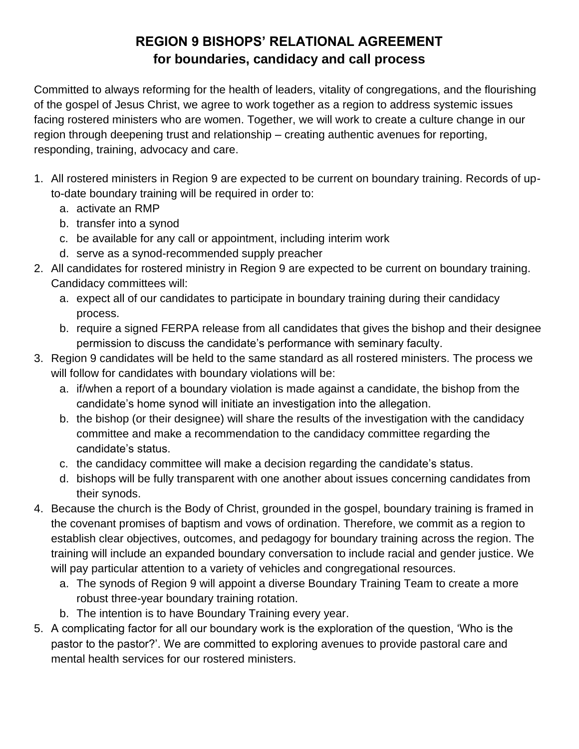## **REGION 9 BISHOPS' RELATIONAL AGREEMENT for boundaries, candidacy and call process**

Committed to always reforming for the health of leaders, vitality of congregations, and the flourishing of the gospel of Jesus Christ, we agree to work together as a region to address systemic issues facing rostered ministers who are women. Together, we will work to create a culture change in our region through deepening trust and relationship – creating authentic avenues for reporting, responding, training, advocacy and care.

- 1. All rostered ministers in Region 9 are expected to be current on boundary training. Records of upto-date boundary training will be required in order to:
	- a. activate an RMP
	- b. transfer into a synod
	- c. be available for any call or appointment, including interim work
	- d. serve as a synod-recommended supply preacher
- 2. All candidates for rostered ministry in Region 9 are expected to be current on boundary training. Candidacy committees will:
	- a. expect all of our candidates to participate in boundary training during their candidacy process.
	- b. require a signed FERPA release from all candidates that gives the bishop and their designee permission to discuss the candidate's performance with seminary faculty.
- 3. Region 9 candidates will be held to the same standard as all rostered ministers. The process we will follow for candidates with boundary violations will be:
	- a. if/when a report of a boundary violation is made against a candidate, the bishop from the candidate's home synod will initiate an investigation into the allegation.
	- b. the bishop (or their designee) will share the results of the investigation with the candidacy committee and make a recommendation to the candidacy committee regarding the candidate's status.
	- c. the candidacy committee will make a decision regarding the candidate's status.
	- d. bishops will be fully transparent with one another about issues concerning candidates from their synods.
- 4. Because the church is the Body of Christ, grounded in the gospel, boundary training is framed in the covenant promises of baptism and vows of ordination. Therefore, we commit as a region to establish clear objectives, outcomes, and pedagogy for boundary training across the region. The training will include an expanded boundary conversation to include racial and gender justice. We will pay particular attention to a variety of vehicles and congregational resources.
	- a. The synods of Region 9 will appoint a diverse Boundary Training Team to create a more robust three-year boundary training rotation.
	- b. The intention is to have Boundary Training every year.
- 5. A complicating factor for all our boundary work is the exploration of the question, 'Who is the pastor to the pastor?'. We are committed to exploring avenues to provide pastoral care and mental health services for our rostered ministers.